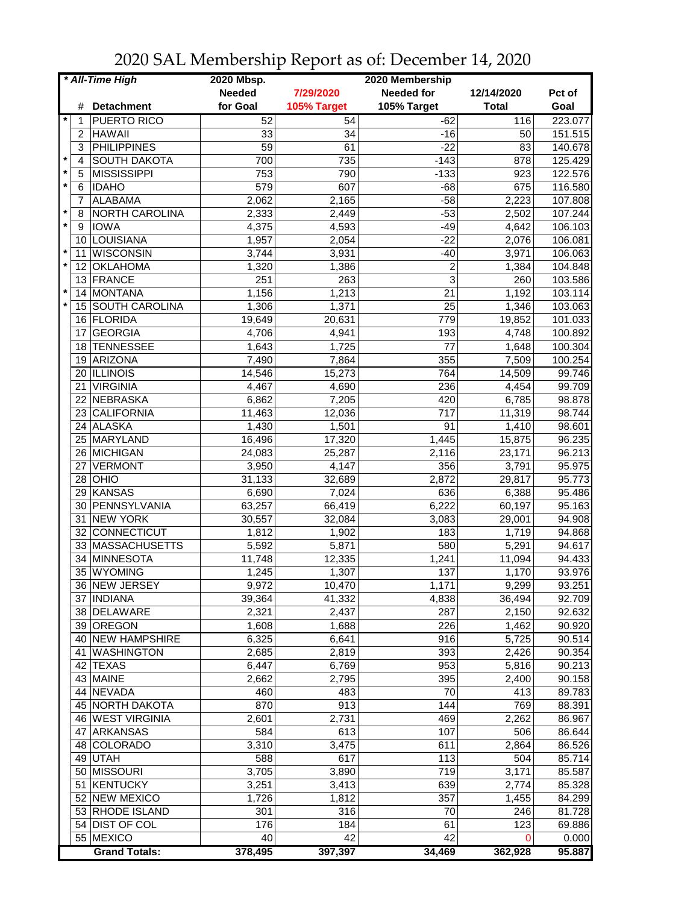| * All-Time High |    |                      | 2020 Mbsp.    |             | 2020 Membership   |              |         |
|-----------------|----|----------------------|---------------|-------------|-------------------|--------------|---------|
|                 |    |                      | <b>Needed</b> | 7/29/2020   | <b>Needed for</b> | 12/14/2020   | Pct of  |
|                 | #  | <b>Detachment</b>    | for Goal      | 105% Target | 105% Target       | <b>Total</b> | Goal    |
|                 | 1  | PUERTO RICO          | 52            | 54          | $-62$             | 116          | 223.077 |
|                 | 2  | <b>HAWAII</b>        | 33            | 34          | $-16$             | 50           | 151.515 |
|                 | 3  | <b>PHILIPPINES</b>   | 59            | 61          | $-22$             | 83           | 140.678 |
| $\star$         | 4  | <b>SOUTH DAKOTA</b>  | 700           | 735         | $-143$            | 878          | 125.429 |
| $\star$         | 5  | <b>MISSISSIPPI</b>   | 753           | 790         | $-133$            | 923          | 122.576 |
| $\star$         | 6  | <b>IDAHO</b>         | 579           | 607         | $-68$             | 675          | 116.580 |
|                 | 7  | <b>ALABAMA</b>       | 2,062         | 2,165       | $-58$             | 2,223        | 107.808 |
| $\ast$          | 8  | NORTH CAROLINA       | 2,333         | 2,449       | $-53$             | 2,502        | 107.244 |
| $\star$         | 9  | <b>IOWA</b>          | 4,375         | 4,593       | $-49$             | 4,642        | 106.103 |
|                 | 10 | LOUISIANA            |               |             | $-22$             | 2,076        | 106.081 |
| $\star$         |    |                      | 1,957         | 2,054       |                   |              |         |
| $\star$         | 11 | <b>WISCONSIN</b>     | 3,744         | 3,931       | $-40$             | 3,971        | 106.063 |
|                 | 12 | <b>OKLAHOMA</b>      | 1,320         | 1,386       | $\overline{c}$    | 1,384        | 104.848 |
| $\star$         | 13 | FRANCE               | 251           | 263         | 3                 | 260          | 103.586 |
|                 | 14 | <b>MONTANA</b>       | 1,156         | 1,213       | 21                | 1,192        | 103.114 |
| $\star$         |    | 15 SOUTH CAROLINA    | 1,306         | 1,371       | 25                | 1,346        | 103.063 |
|                 | 16 | FLORIDA              | 19,649        | 20,631      | 779               | 19,852       | 101.033 |
|                 | 17 | <b>GEORGIA</b>       | 4,706         | 4,941       | 193               | 4,748        | 100.892 |
|                 | 18 | <b>TENNESSEE</b>     | 1,643         | 1,725       | 77                | 1,648        | 100.304 |
|                 | 19 | ARIZONA              | 7,490         | 7,864       | 355               | 7,509        | 100.254 |
|                 |    | 20 ILLINOIS          | 14,546        | 15,273      | 764               | 14,509       | 99.746  |
|                 | 21 | <b>VIRGINIA</b>      | 4,467         | 4,690       | 236               | 4,454        | 99.709  |
|                 |    | 22 NEBRASKA          | 6,862         | 7,205       | 420               | 6,785        | 98.878  |
|                 |    | 23 CALIFORNIA        | 11,463        | 12,036      | $\overline{717}$  | 11,319       | 98.744  |
|                 |    | 24 ALASKA            | 1,430         | 1,501       | $\overline{91}$   | 1,410        | 98.601  |
|                 |    | 25 MARYLAND          | 16,496        | 17,320      | 1,445             | 15,875       | 96.235  |
|                 |    | 26 MICHIGAN          | 24,083        | 25,287      | 2,116             | 23,171       | 96.213  |
|                 | 27 | <b>VERMONT</b>       | 3,950         | 4,147       | 356               | 3,791        | 95.975  |
|                 | 28 | OHIO                 | 31,133        | 32,689      | 2,872             | 29,817       | 95.773  |
|                 | 29 | KANSAS               | 6,690         | 7,024       | 636               | 6,388        | 95.486  |
|                 | 30 | PENNSYLVANIA         | 63,257        | 66,419      | 6,222             | 60,197       | 95.163  |
|                 | 31 | <b>NEW YORK</b>      | 30,557        | 32,084      | 3,083             | 29,001       | 94.908  |
|                 | 32 | CONNECTICUT          | 1,812         | 1,902       | 183               | 1,719        | 94.868  |
|                 |    | 33 MASSACHUSETTS     | 5,592         | 5,871       | 580               | 5,291        | 94.617  |
|                 | 34 | MINNESOTA            | 11,748        | 12,335      | 1,241             | 11,094       | 94.433  |
|                 | 35 | <b>WYOMING</b>       | 1,245         | 1,307       | 137               | 1,170        | 93.976  |
|                 |    | 36 NEW JERSEY        | 9,972         |             |                   |              | 93.251  |
|                 |    |                      |               | 10,470      | 1,171<br>4,838    | 9,299        |         |
|                 |    | 37   INDIANA         | 39,364        | 41,332      |                   | 36,494       | 92.709  |
|                 |    | 38 DELAWARE          | 2,321         | 2,437       | 287               | 2,150        | 92.632  |
|                 |    | 39 OREGON            | 1,608         | 1,688       | 226               | 1,462        | 90.920  |
|                 |    | 40 NEW HAMPSHIRE     | 6,325         | 6,641       | 916               | 5,725        | 90.514  |
|                 |    | 41   WASHINGTON      | 2,685         | 2,819       | 393               | 2,426        | 90.354  |
|                 |    | 42 TEXAS             | 6,447         | 6,769       | 953               | 5,816        | 90.213  |
|                 |    | 43 MAINE             | 2,662         | 2,795       | 395               | 2,400        | 90.158  |
|                 |    | 44 NEVADA            | 460           | 483         | 70                | 413          | 89.783  |
|                 |    | 45 NORTH DAKOTA      | 870           | 913         | 144               | 769          | 88.391  |
|                 |    | 46 WEST VIRGINIA     | 2,601         | 2,731       | 469               | 2,262        | 86.967  |
|                 |    | 47 ARKANSAS          | 584           | 613         | 107               | 506          | 86.644  |
|                 |    | 48 COLORADO          | 3,310         | 3,475       | 611               | 2,864        | 86.526  |
|                 |    | 49 UTAH              | 588           | 617         | 113               | 504          | 85.714  |
|                 |    | 50 MISSOURI          | 3,705         | 3,890       | 719               | 3,171        | 85.587  |
|                 |    | 51 KENTUCKY          | 3,251         | 3,413       | 639               | 2,774        | 85.328  |
|                 |    | 52 NEW MEXICO        | 1,726         | 1,812       | 357               | 1,455        | 84.299  |
|                 |    | 53 RHODE ISLAND      | 301           | 316         | 70                | 246          | 81.728  |
|                 |    | 54 DIST OF COL       | 176           | 184         | 61                | 123          | 69.886  |
|                 |    | 55 MEXICO            | 40            | 42          | $\overline{42}$   | $\Omega$     | 0.000   |
|                 |    | <b>Grand Totals:</b> | 378,495       | 397,397     | 34,469            | 362,928      | 95.887  |

2020 SAL Membership Report as of: December 14, 2020